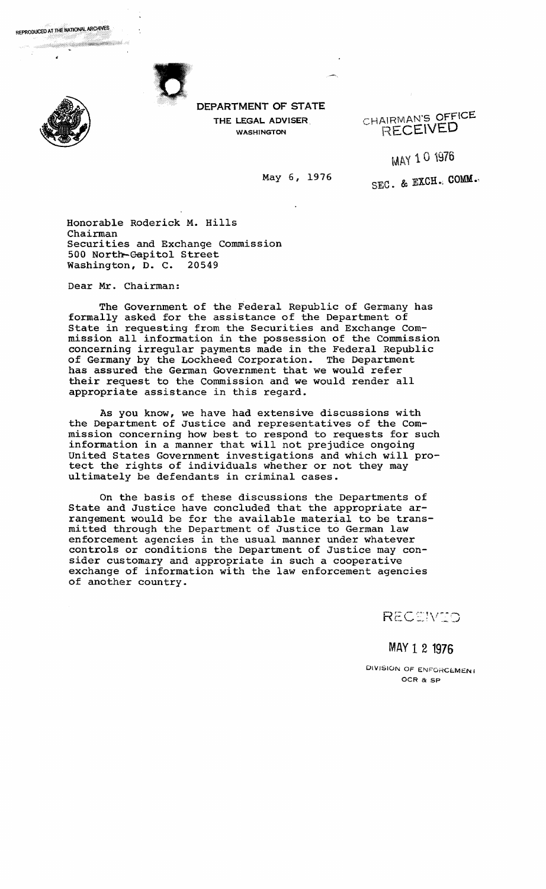

REPRODUCED AT THE NATIONAL ARCHIVES

DEPARTMENT OF STATE THE LEGAL ADVISER. WASHINGTON

CHAlRMAN'S OFFICE RECEiVED

MAY 10 1976

May 6, 1976

SEC. & EXCH., COMM.

Honorable Roderick M. Hills Chairman Securities and Exchange Commission 500 North-Capitol Street<br>Washington, D. C. 20549 Washington, D. C.

Dear Mr. Chairman:

The Government of the Federal Republic of Germany has formally asked for the assistance of the Department of State in requesting from the Securities and Exchange Commission all information in the possession of the Commission concerning irregular payments made in the Federal Republic of Germany by the Lockheed Corporation. The Department has assured the German Government that we would refer their request to the Commission and we would render all appropriate assistance in this regard.

As you know, we have had extensive discussions with the Department of Justice and representatives of the Commission concerning how best to respond to requests for such information in a manner that will not prejudice ongoing united States Government investigations and which will protect the rights of individuals whether or not they may ultimately be defendants in criminal cases.

On the basis of these discussions the Departments of State and Justice have concluded that the appropriate arrangement would be for the available material to be transmitted through the Department of Justice to German law enforcement agencies in the usual manner under whatever controls or conditions the Department of Justice may consider customary and appropriate in such a cooperative exchange of information with the law enforcement agencies of another country.

RECEIVED

MAY 1 2 1976

DIVISION OF ENFORCEMENT OCR & SP